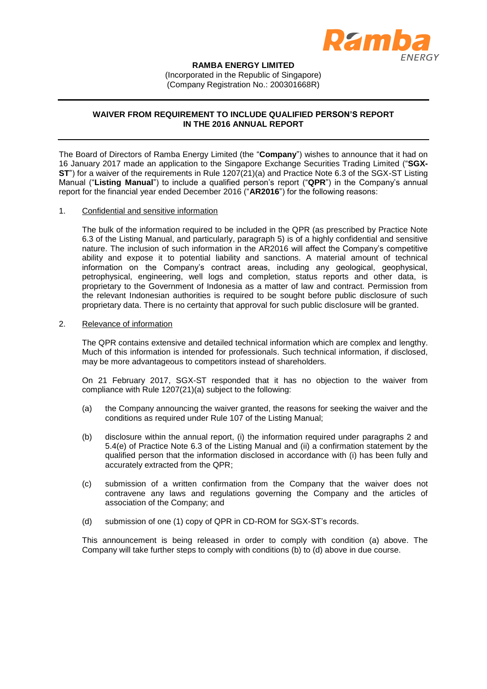

## **RAMBA ENERGY LIMITED**

(Incorporated in the Republic of Singapore) (Company Registration No.: 200301668R)

## **WAIVER FROM REQUIREMENT TO INCLUDE QUALIFIED PERSON'S REPORT IN THE 2016 ANNUAL REPORT**

The Board of Directors of Ramba Energy Limited (the "**Company**") wishes to announce that it had on 16 January 2017 made an application to the Singapore Exchange Securities Trading Limited ("**SGX-ST**") for a waiver of the requirements in Rule 1207(21)(a) and Practice Note 6.3 of the SGX-ST Listing Manual ("**Listing Manual**") to include a qualified person's report ("**QPR**") in the Company's annual report for the financial year ended December 2016 ("**AR2016**") for the following reasons:

## 1. Confidential and sensitive information

The bulk of the information required to be included in the QPR (as prescribed by Practice Note 6.3 of the Listing Manual, and particularly, paragraph 5) is of a highly confidential and sensitive nature. The inclusion of such information in the AR2016 will affect the Company's competitive ability and expose it to potential liability and sanctions. A material amount of technical information on the Company's contract areas, including any geological, geophysical, petrophysical, engineering, well logs and completion, status reports and other data, is proprietary to the Government of Indonesia as a matter of law and contract. Permission from the relevant Indonesian authorities is required to be sought before public disclosure of such proprietary data. There is no certainty that approval for such public disclosure will be granted.

## 2. Relevance of information

The QPR contains extensive and detailed technical information which are complex and lengthy. Much of this information is intended for professionals. Such technical information, if disclosed, may be more advantageous to competitors instead of shareholders.

On 21 February 2017, SGX-ST responded that it has no objection to the waiver from compliance with Rule 1207(21)(a) subject to the following:

- (a) the Company announcing the waiver granted, the reasons for seeking the waiver and the conditions as required under Rule 107 of the Listing Manual;
- (b) disclosure within the annual report, (i) the information required under paragraphs 2 and 5.4(e) of Practice Note 6.3 of the Listing Manual and (ii) a confirmation statement by the qualified person that the information disclosed in accordance with (i) has been fully and accurately extracted from the QPR;
- (c) submission of a written confirmation from the Company that the waiver does not contravene any laws and regulations governing the Company and the articles of association of the Company; and
- (d) submission of one (1) copy of QPR in CD-ROM for SGX-ST's records.

This announcement is being released in order to comply with condition (a) above. The Company will take further steps to comply with conditions (b) to (d) above in due course.